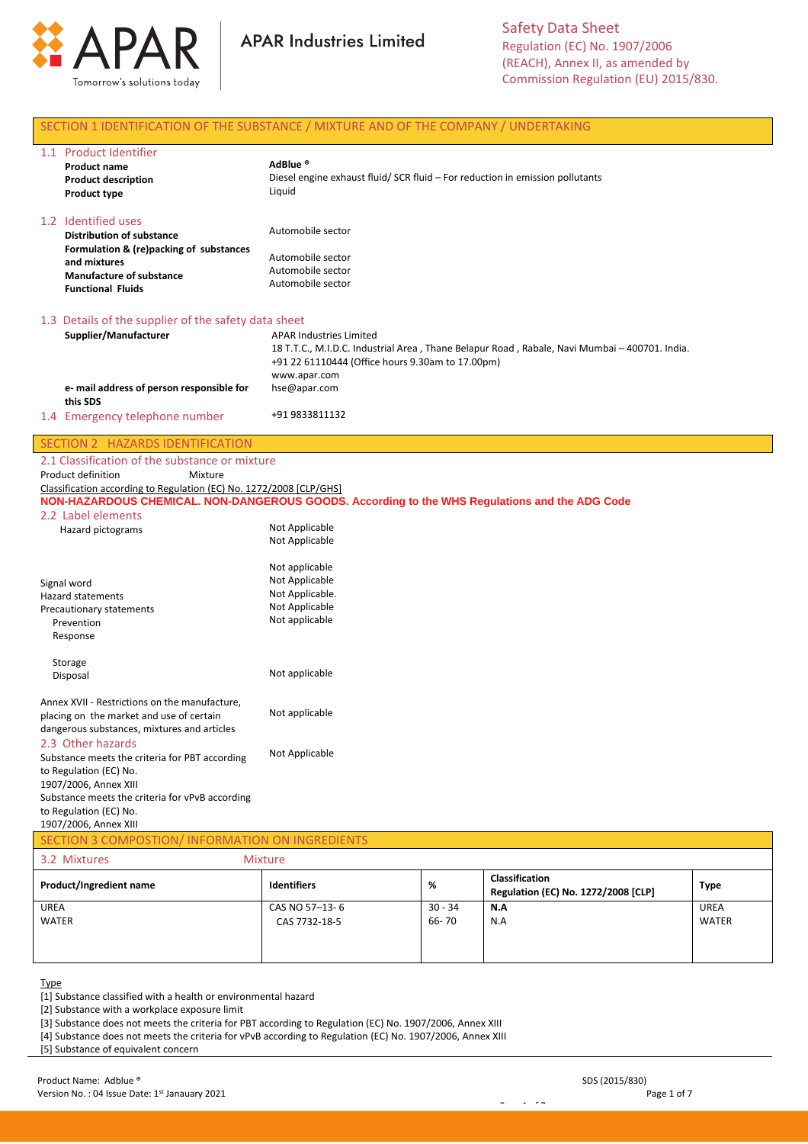



Safety Data Sheet Regulation (EC) No. 1907/2006 (REACH), Annex II, as amended by Commission Regulation (EU) 2015/830.

# SECTION 1 IDENTIFICATION OF THE SUBSTANCE / MIXTURE AND OF THE COMPANY / UNDERTAKING

| 1.1 Product Identifier<br><b>Product name</b>           | AdBlue <sup>®</sup>                                                                           |
|---------------------------------------------------------|-----------------------------------------------------------------------------------------------|
| <b>Product description</b>                              | Diesel engine exhaust fluid/ SCR fluid – For reduction in emission pollutants                 |
| <b>Product type</b>                                     | Liquid                                                                                        |
| 1.2 Identified uses<br><b>Distribution of substance</b> | Automobile sector                                                                             |
| Formulation & (re)packing of substances<br>and mixtures | Automobile sector                                                                             |
| <b>Manufacture of substance</b>                         | Automobile sector                                                                             |
| <b>Functional Fluids</b>                                | Automobile sector                                                                             |
| 1.3 Details of the supplier of the safety data sheet    |                                                                                               |
| Supplier/Manufacturer                                   | <b>APAR Industries Limited</b>                                                                |
|                                                         | 18 T.T.C., M.I.D.C. Industrial Area, Thane Belapur Road, Rabale, Navi Mumbai – 400701. India. |
|                                                         | +91 22 61110444 (Office hours 9.30am to 17.00pm)                                              |
|                                                         | www.apar.com                                                                                  |
| e- mail address of person responsible for<br>this SDS   | hse@apar.com                                                                                  |
| 1.4 Emergency telephone number                          | +91 9833811132                                                                                |

# SECTION 2 HAZARDS IDENTIFICATION

| 2.1 Classification of the substance or mixture                                                 |         |                |  |  |
|------------------------------------------------------------------------------------------------|---------|----------------|--|--|
| Product definition                                                                             | Mixture |                |  |  |
| Classification according to Regulation (EC) No. 1272/2008 [CLP/GHS]                            |         |                |  |  |
| NON-HAZARDOUS CHEMICAL. NON-DANGEROUS GOODS. According to the WHS Regulations and the ADG Code |         |                |  |  |
| 2.2 Label elements                                                                             |         |                |  |  |
| Hazard pictograms                                                                              |         | Not Applicable |  |  |
|                                                                                                |         | Not Applicable |  |  |

| Signal word<br><b>Hazard statements</b><br>Precautionary statements<br>Prevention<br>Response                                            | Not applicable<br>Not Applicable<br>Not Applicable.<br>Not Applicable<br>Not applicable |
|------------------------------------------------------------------------------------------------------------------------------------------|-----------------------------------------------------------------------------------------|
| Storage<br>Disposal                                                                                                                      | Not applicable                                                                          |
| Annex XVII - Restrictions on the manufacture,<br>placing on the market and use of certain<br>dangerous substances, mixtures and articles | Not applicable                                                                          |
| 2.3 Other hazards<br>Substance meets the criteria for PBT according<br>to Regulation (EC) No.<br>1907/2006, Annex XIII                   | Not Applicable                                                                          |
| Substance meets the criteria for vPvB according<br>to Regulation (EC) No.                                                                |                                                                                         |

1907/2006, Annex XIII

| SECTION 3 COMPOSTION/ INFORMATION ON INGREDIENTS |                    |           |                                                              |             |  |  |
|--------------------------------------------------|--------------------|-----------|--------------------------------------------------------------|-------------|--|--|
| <b>Mixture</b><br>3.2 Mixtures                   |                    |           |                                                              |             |  |  |
| Product/Ingredient name                          | <b>Identifiers</b> | %         | <b>Classification</b><br>Regulation (EC) No. 1272/2008 [CLP] | <b>Type</b> |  |  |
| <b>UREA</b>                                      | CAS NO 57-13-6     | $30 - 34$ | N.A                                                          | UREA        |  |  |
| <b>WATER</b>                                     | CAS 7732-18-5      | 66-70     | N.A                                                          | WATER       |  |  |
|                                                  |                    |           |                                                              |             |  |  |

<u>Page 1 of 7 of 7 of 7 of 7 of 7 of</u>

#### Type

[1] Substance classified with a health or environmental hazard

[2] Substance with a workplace exposure limit

[3] Substance does not meets the criteria for PBT according to Regulation (EC) No. 1907/2006, Annex XIII

[4] Substance does not meets the criteria for vPvB according to Regulation (EC) No. 1907/2006, Annex XIII

[5] Substance of equivalent concern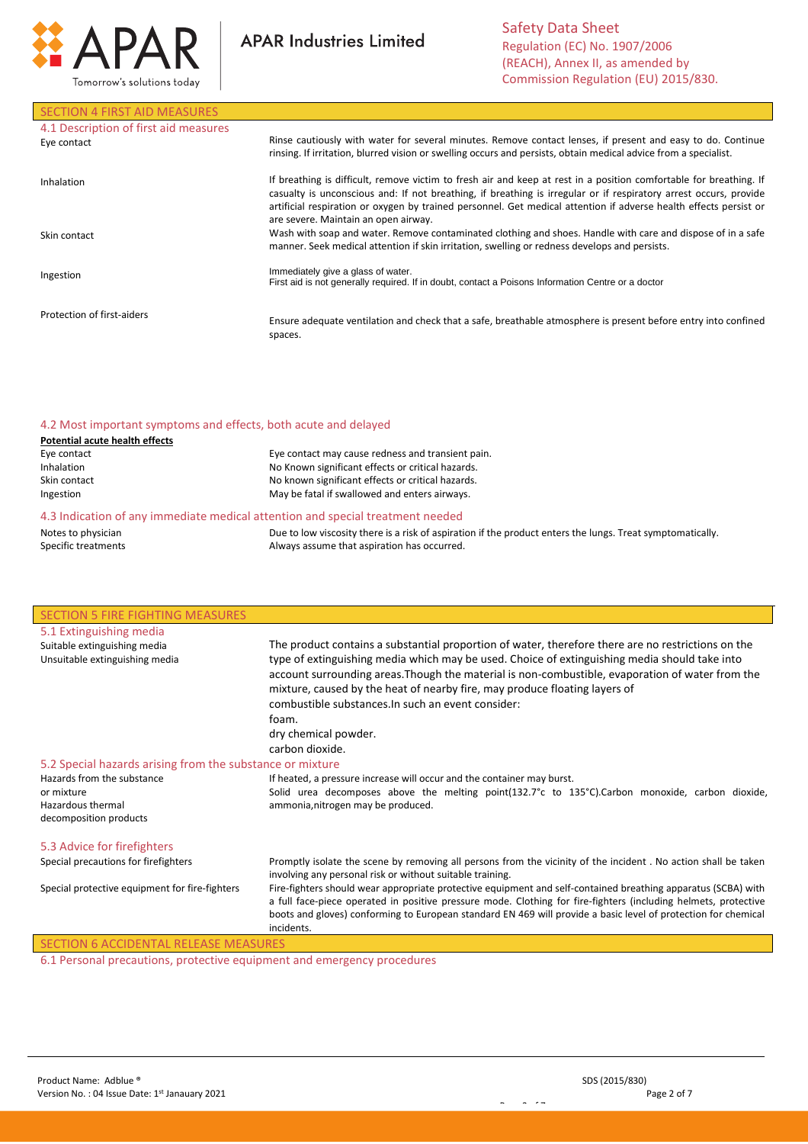

**APAR Industries Limited** 

# SECTION 4 FIRST AID MEASURES

| 4.1 Description of first aid measures<br>Eye contact | Rinse cautiously with water for several minutes. Remove contact lenses, if present and easy to do. Continue<br>rinsing. If irritation, blurred vision or swelling occurs and persists, obtain medical advice from a specialist.                                                                                                                                                                      |
|------------------------------------------------------|------------------------------------------------------------------------------------------------------------------------------------------------------------------------------------------------------------------------------------------------------------------------------------------------------------------------------------------------------------------------------------------------------|
| Inhalation                                           | If breathing is difficult, remove victim to fresh air and keep at rest in a position comfortable for breathing. If<br>casualty is unconscious and: If not breathing, if breathing is irregular or if respiratory arrest occurs, provide<br>artificial respiration or oxygen by trained personnel. Get medical attention if adverse health effects persist or<br>are severe. Maintain an open airway. |
| Skin contact                                         | Wash with soap and water. Remove contaminated clothing and shoes. Handle with care and dispose of in a safe<br>manner. Seek medical attention if skin irritation, swelling or redness develops and persists.                                                                                                                                                                                         |
| Ingestion                                            | Immediately give a glass of water.<br>First aid is not generally required. If in doubt, contact a Poisons Information Centre or a doctor                                                                                                                                                                                                                                                             |
| Protection of first-aiders                           | Ensure adequate ventilation and check that a safe, breathable atmosphere is present before entry into confined<br>spaces.                                                                                                                                                                                                                                                                            |

# 4.2 Most important symptoms and effects, both acute and delayed

| <b>Potential acute health effects</b> |  |
|---------------------------------------|--|
| Eye contact                           |  |
| <b>Inhalation</b>                     |  |

| . |                                                   |
|---|---------------------------------------------------|
|   | Eye contact may cause redness and transient pain. |
|   | No Known significant effects or critical hazards. |
|   | No known significant effects or critical hazards. |
|   | May be fatal if swallowed and enters airways.     |
|   |                                                   |

#### 4.3 Indication of any immediate medical attention and special treatment needed

Notes to physician Specific treatments

Skin contact Ingestion

> Due to low viscosity there is a risk of aspiration if the product enters the lungs. Treat symptomatically. Always assume that aspiration has occurred.

> > Page 2 of 7

| <b>SECTION 5 FIRE FIGHTING MEASURES</b>                                                                                                                                                                                                                                                                                                                                                                                     |                                                                                                                                                                                                                                                                                                                                                                  |  |  |
|-----------------------------------------------------------------------------------------------------------------------------------------------------------------------------------------------------------------------------------------------------------------------------------------------------------------------------------------------------------------------------------------------------------------------------|------------------------------------------------------------------------------------------------------------------------------------------------------------------------------------------------------------------------------------------------------------------------------------------------------------------------------------------------------------------|--|--|
| 5.1 Extinguishing media                                                                                                                                                                                                                                                                                                                                                                                                     |                                                                                                                                                                                                                                                                                                                                                                  |  |  |
| Suitable extinguishing media                                                                                                                                                                                                                                                                                                                                                                                                | The product contains a substantial proportion of water, therefore there are no restrictions on the                                                                                                                                                                                                                                                               |  |  |
| Unsuitable extinguishing media<br>type of extinguishing media which may be used. Choice of extinguishing media should take into<br>account surrounding areas. Though the material is non-combustible, evaporation of water from the<br>mixture, caused by the heat of nearby fire, may produce floating layers of<br>combustible substances. In such an event consider:<br>foam.<br>dry chemical powder.<br>carbon dioxide. |                                                                                                                                                                                                                                                                                                                                                                  |  |  |
| 5.2 Special hazards arising from the substance or mixture                                                                                                                                                                                                                                                                                                                                                                   |                                                                                                                                                                                                                                                                                                                                                                  |  |  |
| Hazards from the substance<br>If heated, a pressure increase will occur and the container may burst.                                                                                                                                                                                                                                                                                                                        |                                                                                                                                                                                                                                                                                                                                                                  |  |  |
| or mixture                                                                                                                                                                                                                                                                                                                                                                                                                  | Solid urea decomposes above the melting point(132.7°c to 135°C).Carbon monoxide, carbon dioxide,                                                                                                                                                                                                                                                                 |  |  |
| Hazardous thermal<br>ammonia, nitrogen may be produced.<br>decomposition products                                                                                                                                                                                                                                                                                                                                           |                                                                                                                                                                                                                                                                                                                                                                  |  |  |
| 5.3 Advice for firefighters                                                                                                                                                                                                                                                                                                                                                                                                 |                                                                                                                                                                                                                                                                                                                                                                  |  |  |
| Special precautions for firefighters                                                                                                                                                                                                                                                                                                                                                                                        | Promptly isolate the scene by removing all persons from the vicinity of the incident. No action shall be taken<br>involving any personal risk or without suitable training.                                                                                                                                                                                      |  |  |
| Special protective equipment for fire-fighters                                                                                                                                                                                                                                                                                                                                                                              | Fire-fighters should wear appropriate protective equipment and self-contained breathing apparatus (SCBA) with<br>a full face-piece operated in positive pressure mode. Clothing for fire-fighters (including helmets, protective<br>boots and gloves) conforming to European standard EN 469 will provide a basic level of protection for chemical<br>incidents. |  |  |

# SECTION 6 ACCIDENTAL RELEASE MEASURE

6.1 Personal precautions, protective equipment and emergency procedures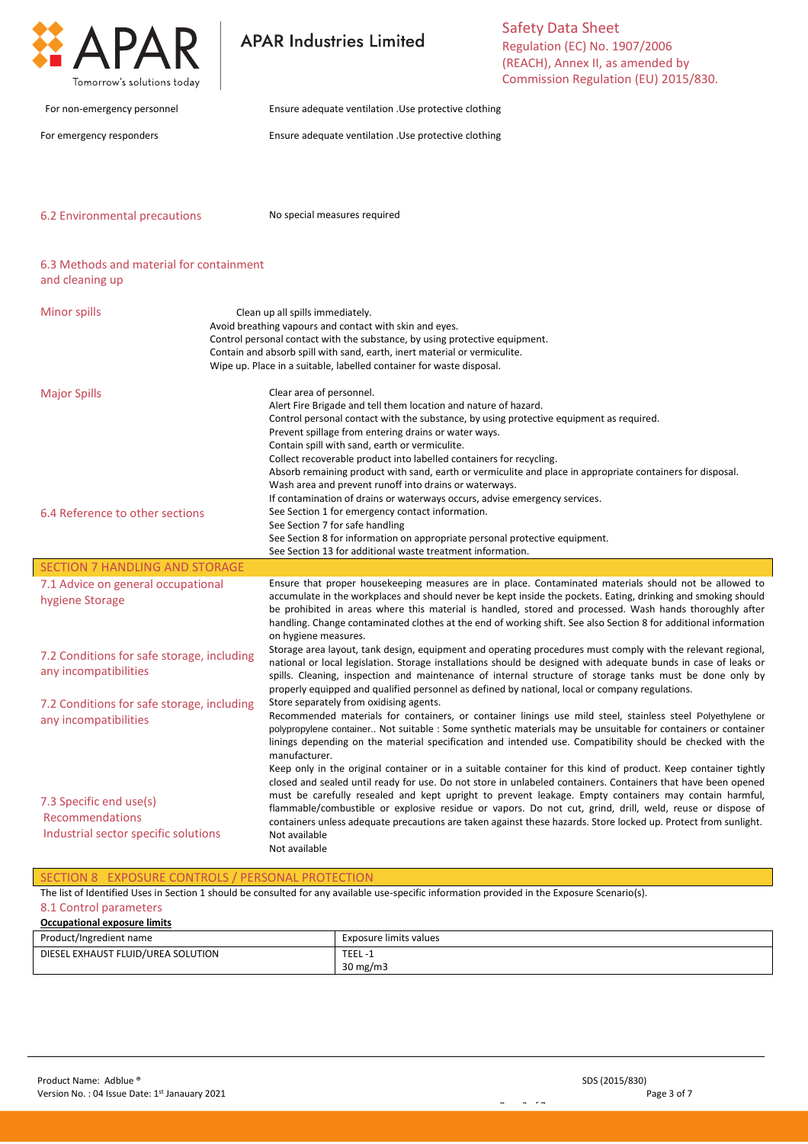

#### SECTION 8 EXPOSURE CONTROLS / PERSONAL PROTECTION

The list of Identified Uses in Section 1 should be consulted for any available use-specific information provided in the Exposure Scenario(s).

# 8.1 Control parameters

| Occupational exposure limits       |                        |  |  |
|------------------------------------|------------------------|--|--|
| Product/Ingredient name            | Exposure limits values |  |  |
| DIESEL EXHAUST FLUID/UREA SOLUTION | TEEL-1                 |  |  |
|                                    | $30 \text{ mg/m}$      |  |  |

Page 3 of 7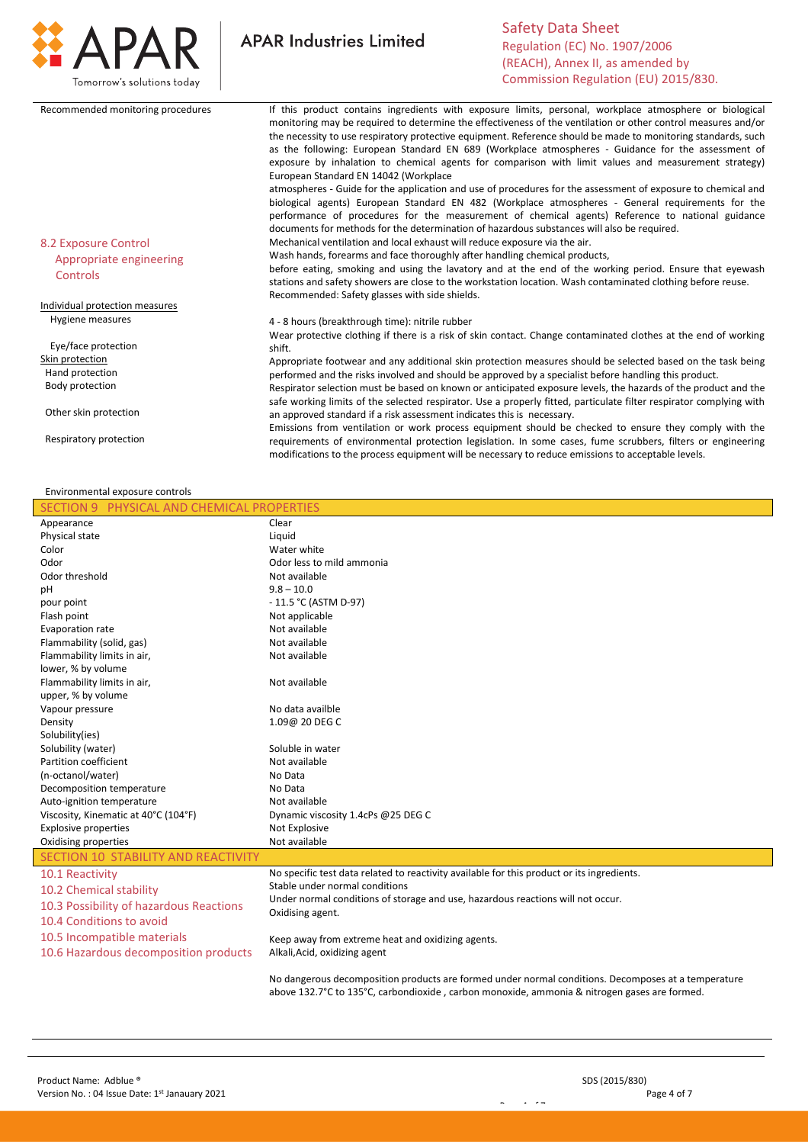

**APAR Industries Limited** 

| Recommended monitoring procedures | If this product contains ingredients with exposure limits, personal, workplace atmosphere or biological<br>monitoring may be required to determine the effectiveness of the ventilation or other control measures and/or<br>the necessity to use respiratory protective equipment. Reference should be made to monitoring standards, such<br>as the following: European Standard EN 689 (Workplace atmospheres - Guidance for the assessment of<br>exposure by inhalation to chemical agents for comparison with limit values and measurement strategy)<br>European Standard EN 14042 (Workplace |
|-----------------------------------|--------------------------------------------------------------------------------------------------------------------------------------------------------------------------------------------------------------------------------------------------------------------------------------------------------------------------------------------------------------------------------------------------------------------------------------------------------------------------------------------------------------------------------------------------------------------------------------------------|
|                                   | atmospheres - Guide for the application and use of procedures for the assessment of exposure to chemical and<br>biological agents) European Standard EN 482 (Workplace atmospheres - General requirements for the<br>performance of procedures for the measurement of chemical agents) Reference to national guidance<br>documents for methods for the determination of hazardous substances will also be required.                                                                                                                                                                              |
| 8.2 Exposure Control              | Mechanical ventilation and local exhaust will reduce exposure via the air.                                                                                                                                                                                                                                                                                                                                                                                                                                                                                                                       |
| Appropriate engineering           | Wash hands, forearms and face thoroughly after handling chemical products,                                                                                                                                                                                                                                                                                                                                                                                                                                                                                                                       |
| Controls                          | before eating, smoking and using the lavatory and at the end of the working period. Ensure that eyewash<br>stations and safety showers are close to the workstation location. Wash contaminated clothing before reuse.<br>Recommended: Safety glasses with side shields.                                                                                                                                                                                                                                                                                                                         |
| Individual protection measures    |                                                                                                                                                                                                                                                                                                                                                                                                                                                                                                                                                                                                  |
| Hygiene measures                  | 4 - 8 hours (breakthrough time): nitrile rubber<br>Wear protective clothing if there is a risk of skin contact. Change contaminated clothes at the end of working                                                                                                                                                                                                                                                                                                                                                                                                                                |
| Eye/face protection               | shift.                                                                                                                                                                                                                                                                                                                                                                                                                                                                                                                                                                                           |
| Skin protection                   | Appropriate footwear and any additional skin protection measures should be selected based on the task being                                                                                                                                                                                                                                                                                                                                                                                                                                                                                      |
| Hand protection                   | performed and the risks involved and should be approved by a specialist before handling this product.                                                                                                                                                                                                                                                                                                                                                                                                                                                                                            |
| Body protection                   | Respirator selection must be based on known or anticipated exposure levels, the hazards of the product and the<br>safe working limits of the selected respirator. Use a properly fitted, particulate filter respirator complying with                                                                                                                                                                                                                                                                                                                                                            |
| Other skin protection             | an approved standard if a risk assessment indicates this is necessary.                                                                                                                                                                                                                                                                                                                                                                                                                                                                                                                           |
| Respiratory protection            | Emissions from ventilation or work process equipment should be checked to ensure they comply with the<br>requirements of environmental protection legislation. In some cases, fume scrubbers, filters or engineering<br>modifications to the process equipment will be necessary to reduce emissions to acceptable levels.                                                                                                                                                                                                                                                                       |

#### Environmental exposure controls

| SECTION 9 PHYSICAL AND CHEMICAL PROPERTIES |                                                                                                     |
|--------------------------------------------|-----------------------------------------------------------------------------------------------------|
| Appearance                                 | Clear                                                                                               |
| Physical state                             | Liquid                                                                                              |
| Color                                      | Water white                                                                                         |
| Odor                                       | Odor less to mild ammonia                                                                           |
| Odor threshold                             | Not available                                                                                       |
| pН                                         | $9.8 - 10.0$                                                                                        |
| pour point                                 | $-11.5 °C$ (ASTM D-97)                                                                              |
| Flash point                                | Not applicable                                                                                      |
| Evaporation rate                           | Not available                                                                                       |
| Flammability (solid, gas)                  | Not available                                                                                       |
| Flammability limits in air,                | Not available                                                                                       |
| lower, % by volume                         |                                                                                                     |
| Flammability limits in air,                | Not available                                                                                       |
| upper, % by volume                         |                                                                                                     |
| Vapour pressure                            | No data availble                                                                                    |
| Density                                    | 1.09@ 20 DEG C                                                                                      |
| Solubility(ies)                            |                                                                                                     |
| Solubility (water)                         | Soluble in water                                                                                    |
| Partition coefficient                      | Not available                                                                                       |
| (n-octanol/water)                          | No Data                                                                                             |
| Decomposition temperature                  | No Data                                                                                             |
| Auto-ignition temperature                  | Not available                                                                                       |
| Viscosity, Kinematic at 40°C (104°F)       | Dynamic viscosity 1.4cPs @25 DEG C                                                                  |
| <b>Explosive properties</b>                | Not Explosive                                                                                       |
| Oxidising properties                       | Not available                                                                                       |
| SECTION 10 STABILITY AND REACTIVITY        |                                                                                                     |
| 10.1 Reactivity                            | No specific test data related to reactivity available for this product or its ingredients.          |
| 10.2 Chemical stability                    | Stable under normal conditions                                                                      |
| 10.3 Possibility of hazardous Reactions    | Under normal conditions of storage and use, hazardous reactions will not occur.                     |
| 10.4 Conditions to avoid                   | Oxidising agent.                                                                                    |
|                                            |                                                                                                     |
| 10.5 Incompatible materials                | Keep away from extreme heat and oxidizing agents.                                                   |
| 10.6 Hazardous decomposition products      | Alkali, Acid, oxidizing agent                                                                       |
|                                            | No dangerous decomposition products are formed under normal conditions. Decomposes at a temperature |
|                                            | above 132.7°C to 135°C, carbondioxide, carbon monoxide, ammonia & nitrogen gases are formed.        |

Page 4 of 7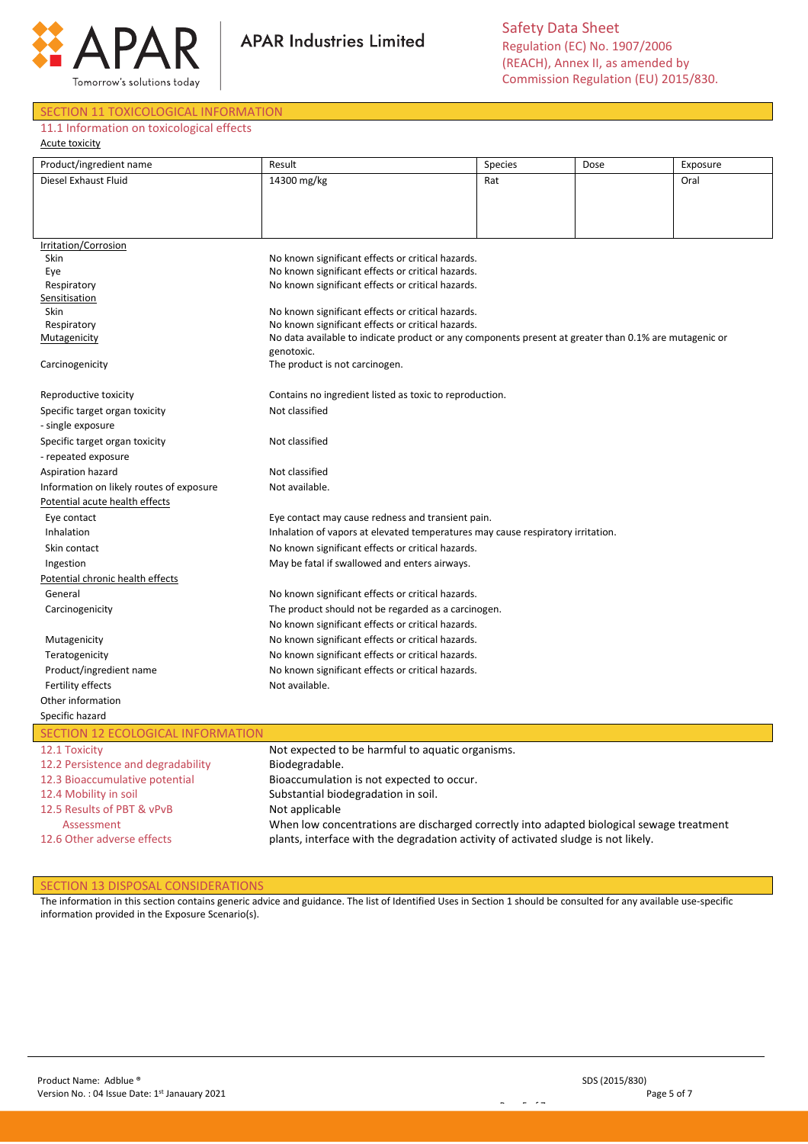

**APAR Industries Limited** 

#### SECTION 11 TOXICOLOGICAL INFORMATION

### 11.1 Information on toxicological effects

Acute toxicity

| Product/ingredient name                                    | Result                                                                                                | Species | Dose | Exposure |  |  |
|------------------------------------------------------------|-------------------------------------------------------------------------------------------------------|---------|------|----------|--|--|
| Diesel Exhaust Fluid                                       | 14300 mg/kg                                                                                           | Rat     |      | Oral     |  |  |
|                                                            |                                                                                                       |         |      |          |  |  |
|                                                            |                                                                                                       |         |      |          |  |  |
|                                                            |                                                                                                       |         |      |          |  |  |
|                                                            |                                                                                                       |         |      |          |  |  |
| Irritation/Corrosion<br>Skin                               | No known significant effects or critical hazards.                                                     |         |      |          |  |  |
| Eye                                                        | No known significant effects or critical hazards.                                                     |         |      |          |  |  |
| Respiratory                                                | No known significant effects or critical hazards.                                                     |         |      |          |  |  |
| Sensitisation                                              |                                                                                                       |         |      |          |  |  |
| Skin                                                       | No known significant effects or critical hazards.                                                     |         |      |          |  |  |
| Respiratory                                                | No known significant effects or critical hazards.                                                     |         |      |          |  |  |
| Mutagenicity                                               | No data available to indicate product or any components present at greater than 0.1% are mutagenic or |         |      |          |  |  |
|                                                            | genotoxic.                                                                                            |         |      |          |  |  |
| Carcinogenicity                                            | The product is not carcinogen.                                                                        |         |      |          |  |  |
| Reproductive toxicity                                      | Contains no ingredient listed as toxic to reproduction.                                               |         |      |          |  |  |
| Specific target organ toxicity                             | Not classified                                                                                        |         |      |          |  |  |
| - single exposure                                          |                                                                                                       |         |      |          |  |  |
|                                                            | Not classified                                                                                        |         |      |          |  |  |
| Specific target organ toxicity                             |                                                                                                       |         |      |          |  |  |
| - repeated exposure                                        |                                                                                                       |         |      |          |  |  |
| Aspiration hazard                                          | Not classified                                                                                        |         |      |          |  |  |
| Not available.<br>Information on likely routes of exposure |                                                                                                       |         |      |          |  |  |
| Potential acute health effects                             |                                                                                                       |         |      |          |  |  |
| Eye contact                                                | Eye contact may cause redness and transient pain.                                                     |         |      |          |  |  |
| Inhalation                                                 | Inhalation of vapors at elevated temperatures may cause respiratory irritation.                       |         |      |          |  |  |
| Skin contact                                               | No known significant effects or critical hazards.                                                     |         |      |          |  |  |
| Ingestion                                                  | May be fatal if swallowed and enters airways.                                                         |         |      |          |  |  |
| Potential chronic health effects                           |                                                                                                       |         |      |          |  |  |
| General                                                    | No known significant effects or critical hazards.                                                     |         |      |          |  |  |
| Carcinogenicity                                            | The product should not be regarded as a carcinogen.                                                   |         |      |          |  |  |
|                                                            | No known significant effects or critical hazards.                                                     |         |      |          |  |  |
| Mutagenicity                                               | No known significant effects or critical hazards.                                                     |         |      |          |  |  |
| Teratogenicity                                             | No known significant effects or critical hazards.                                                     |         |      |          |  |  |
| Product/ingredient name                                    | No known significant effects or critical hazards.                                                     |         |      |          |  |  |
| Fertility effects                                          | Not available.                                                                                        |         |      |          |  |  |
| Other information                                          |                                                                                                       |         |      |          |  |  |
| Specific hazard                                            |                                                                                                       |         |      |          |  |  |
| SECTION 12 ECOLOGICAL INFORMATION                          |                                                                                                       |         |      |          |  |  |
| 12.1 Toxicity                                              | Not expected to be harmful to aquatic organisms.                                                      |         |      |          |  |  |
| 12.2 Persistence and degradability                         | Biodegradable.                                                                                        |         |      |          |  |  |
| 12.3 Bioaccumulative potential                             | Bioaccumulation is not expected to occur.                                                             |         |      |          |  |  |
| 12.4 Mobility in soil                                      | Substantial biodegradation in soil.                                                                   |         |      |          |  |  |
| 12.5 Results of PBT & vPvB                                 | Not applicable                                                                                        |         |      |          |  |  |
| Assessment                                                 | When low concentrations are discharged correctly into adapted biological sewage treatment             |         |      |          |  |  |

12.6 Other adverse effects

SECTION 13 DISPOSAL CONSIDERATIONS

The information in this section contains generic advice and guidance. The list of Identified Uses in Section 1 should be consulted for any available use-specific information provided in the Exposure Scenario(s).

Page 5 of 7

plants, interface with the degradation activity of activated sludge is not likely.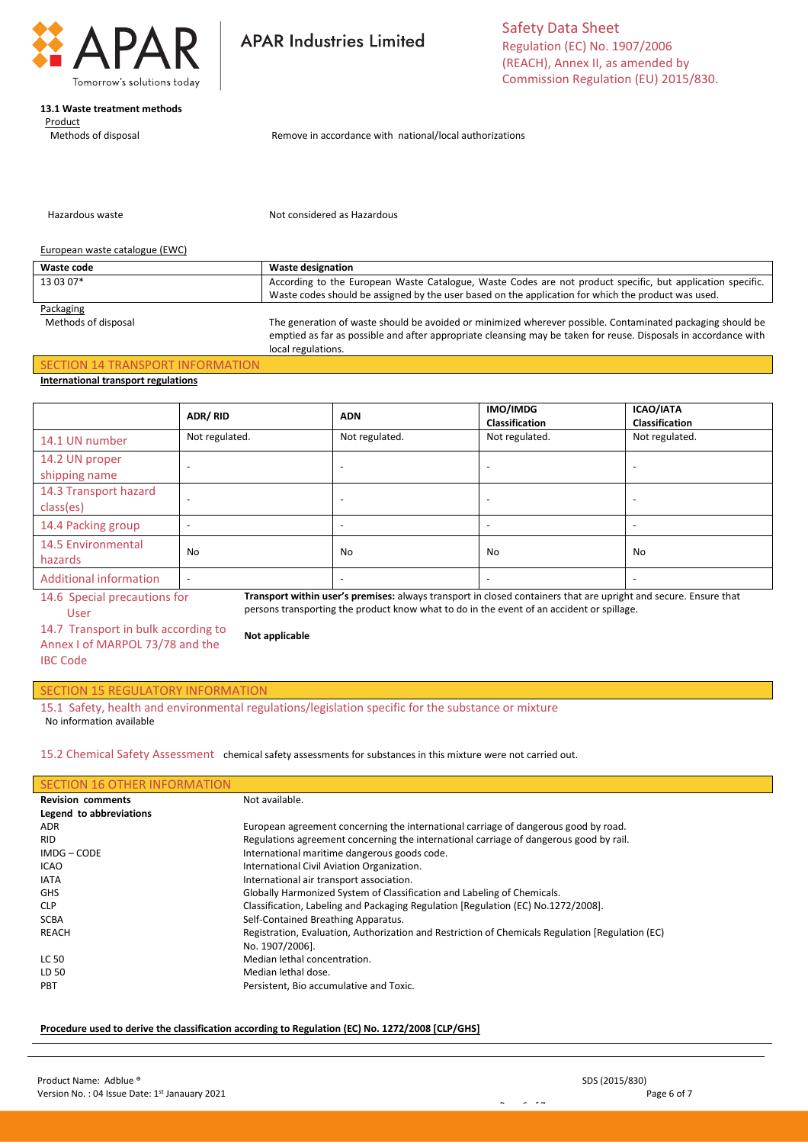

### **13.1 Waste treatment methods**

 Product Methods of disposal **APAR Industries Limited** 

Safety Data Sheet Regulation (EC) No. 1907/2006 (REACH), Annex II, as amended by Commission Regulation (EU) 2015/830.

Remove in accordance with national/local authorizations

Hazardous waste

Not considered as Hazardous

#### European waste catalogue (EWC)

| Waste code | <b>Waste designation</b>                                                                                   |  |
|------------|------------------------------------------------------------------------------------------------------------|--|
| 13 03 07*  | According to the European Waste Catalogue, Waste Codes are not product specific, but application specific. |  |
|            | Waste codes should be assigned by the user based on the application for which the product was used.        |  |
| Packaging  |                                                                                                            |  |

Methods of disposal The generation of waste should be avoided or minimized wherever possible. Contaminated packaging should be emptied as far as possible and after appropriate cleansing may be taken for reuse. Disposals in accordance with local regulations.

# SECTION 14 TRANSPORT INFORMATION

## **International transport regulations**

|                                                                                                                                                  | ADR/RID                  | <b>ADN</b>     | IMO/IMDG<br>Classification | <b>ICAO/IATA</b><br><b>Classification</b> |
|--------------------------------------------------------------------------------------------------------------------------------------------------|--------------------------|----------------|----------------------------|-------------------------------------------|
| 14.1 UN number                                                                                                                                   | Not regulated.           | Not regulated. | Not regulated.             | Not regulated.                            |
| 14.2 UN proper<br>shipping name                                                                                                                  |                          |                |                            |                                           |
| 14.3 Transport hazard<br>class(es)                                                                                                               |                          |                |                            |                                           |
| 14.4 Packing group                                                                                                                               |                          |                |                            |                                           |
| 14.5 Environmental<br>hazards                                                                                                                    | No                       | No             | No                         | No                                        |
| <b>Additional information</b>                                                                                                                    | $\overline{\phantom{a}}$ |                |                            |                                           |
| Transport within user's premises: always transport in closed containers that are upright and secure. Ensure that<br>14.6 Special precautions for |                          |                |                            |                                           |

User

**Transport within user's premises:** always transport in closed containers that are upright and secure. Ensure that persons transporting the product know what to do in the event of an accident or spillage.

14.7 Transport in bulk according to Annex I of MARPOL 73/78 and the IBC Code

# SECTION 15 REGULATORY INFORMATION

15.1 Safety, health and environmental regulations/legislation specific for the substance or mixture No information available

**Not applicable**

15.2 Chemical Safety Assessment chemical safety assessments for substances in this mixture were not carried out.

# SECTION 16 OTHER INFORMATION

| <b>Revision comments</b> | Not available.                                                                                   |  |  |
|--------------------------|--------------------------------------------------------------------------------------------------|--|--|
| Legend to abbreviations  |                                                                                                  |  |  |
| <b>ADR</b>               | European agreement concerning the international carriage of dangerous good by road.              |  |  |
| <b>RID</b>               | Regulations agreement concerning the international carriage of dangerous good by rail.           |  |  |
| IMDG-CODE                | International maritime dangerous goods code.                                                     |  |  |
| <b>ICAO</b>              | International Civil Aviation Organization.                                                       |  |  |
| <b>IATA</b>              | International air transport association.                                                         |  |  |
| <b>GHS</b>               | Globally Harmonized System of Classification and Labeling of Chemicals.                          |  |  |
| <b>CLP</b>               | Classification, Labeling and Packaging Regulation [Regulation (EC) No.1272/2008].                |  |  |
| <b>SCBA</b>              | Self-Contained Breathing Apparatus.                                                              |  |  |
| REACH                    | Registration, Evaluation, Authorization and Restriction of Chemicals Regulation [Regulation (EC) |  |  |
|                          | No. 1907/2006].                                                                                  |  |  |
| <b>LC 50</b>             | Median lethal concentration.                                                                     |  |  |
| LD 50                    | Median lethal dose.                                                                              |  |  |
| <b>PBT</b>               | Persistent, Bio accumulative and Toxic.                                                          |  |  |
|                          |                                                                                                  |  |  |

Page 6 of 7

#### **Procedure used to derive the classification according to Regulation (EC) No. 1272/2008 [CLP/GHS]**